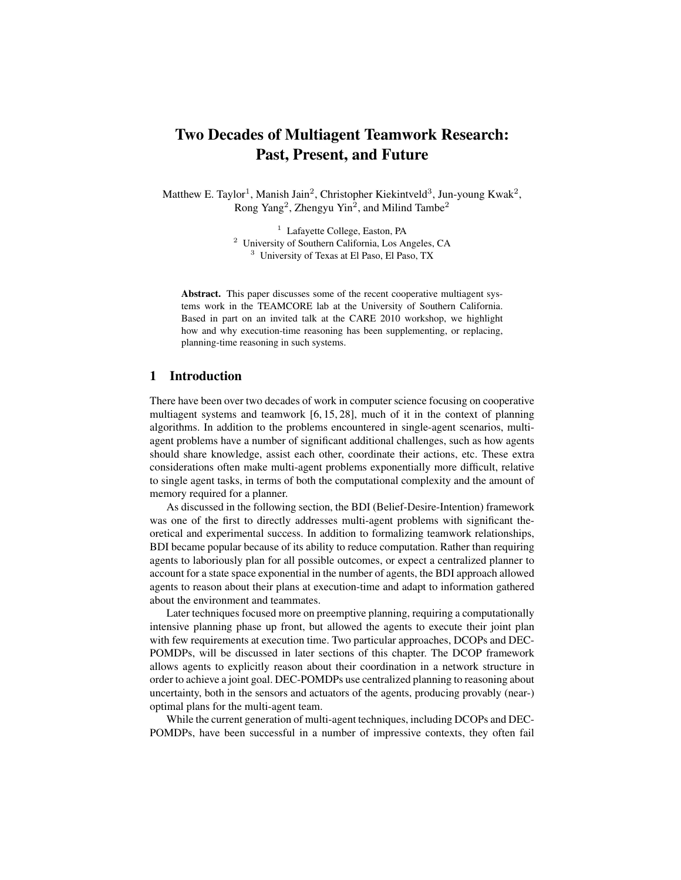# Two Decades of Multiagent Teamwork Research: Past, Present, and Future

Matthew E. Taylor<sup>1</sup>, Manish Jain<sup>2</sup>, Christopher Kiekintveld<sup>3</sup>, Jun-young Kwak<sup>2</sup>, Rong Yang<sup>2</sup>, Zhengyu Yin<sup>2</sup>, and Milind Tambe<sup>2</sup>

> <sup>1</sup> Lafayette College, Easton, PA <sup>2</sup> University of Southern California, Los Angeles, CA <sup>3</sup> University of Texas at El Paso, El Paso, TX

Abstract. This paper discusses some of the recent cooperative multiagent systems work in the TEAMCORE lab at the University of Southern California. Based in part on an invited talk at the CARE 2010 workshop, we highlight how and why execution-time reasoning has been supplementing, or replacing, planning-time reasoning in such systems.

# 1 Introduction

There have been over two decades of work in computer science focusing on cooperative multiagent systems and teamwork [6, 15, 28], much of it in the context of planning algorithms. In addition to the problems encountered in single-agent scenarios, multiagent problems have a number of significant additional challenges, such as how agents should share knowledge, assist each other, coordinate their actions, etc. These extra considerations often make multi-agent problems exponentially more difficult, relative to single agent tasks, in terms of both the computational complexity and the amount of memory required for a planner.

As discussed in the following section, the BDI (Belief-Desire-Intention) framework was one of the first to directly addresses multi-agent problems with significant theoretical and experimental success. In addition to formalizing teamwork relationships, BDI became popular because of its ability to reduce computation. Rather than requiring agents to laboriously plan for all possible outcomes, or expect a centralized planner to account for a state space exponential in the number of agents, the BDI approach allowed agents to reason about their plans at execution-time and adapt to information gathered about the environment and teammates.

Later techniques focused more on preemptive planning, requiring a computationally intensive planning phase up front, but allowed the agents to execute their joint plan with few requirements at execution time. Two particular approaches, DCOPs and DEC-POMDPs, will be discussed in later sections of this chapter. The DCOP framework allows agents to explicitly reason about their coordination in a network structure in order to achieve a joint goal. DEC-POMDPs use centralized planning to reasoning about uncertainty, both in the sensors and actuators of the agents, producing provably (near-) optimal plans for the multi-agent team.

While the current generation of multi-agent techniques, including DCOPs and DEC-POMDPs, have been successful in a number of impressive contexts, they often fail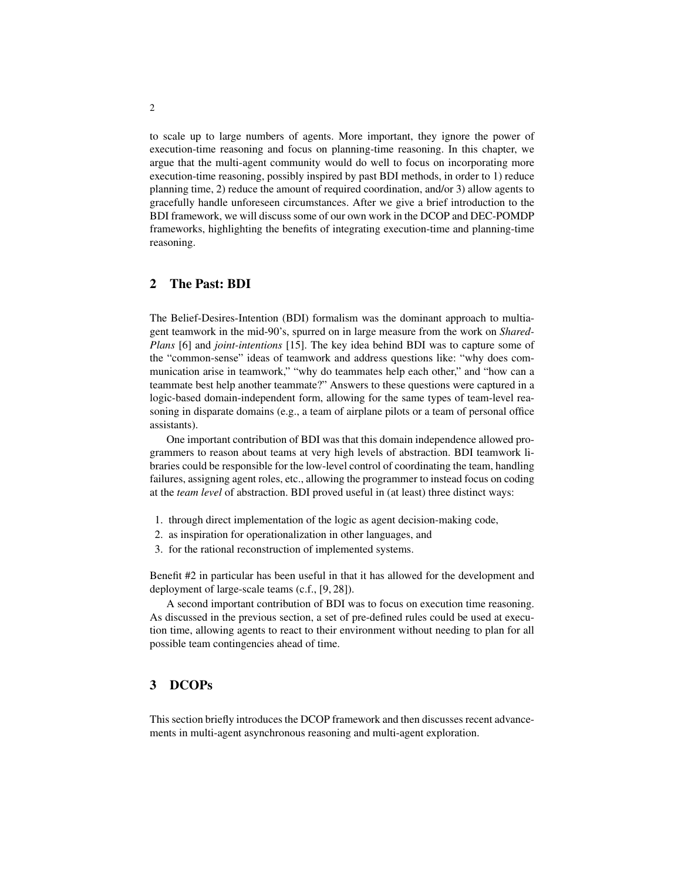to scale up to large numbers of agents. More important, they ignore the power of execution-time reasoning and focus on planning-time reasoning. In this chapter, we argue that the multi-agent community would do well to focus on incorporating more execution-time reasoning, possibly inspired by past BDI methods, in order to 1) reduce planning time, 2) reduce the amount of required coordination, and/or 3) allow agents to gracefully handle unforeseen circumstances. After we give a brief introduction to the BDI framework, we will discuss some of our own work in the DCOP and DEC-POMDP frameworks, highlighting the benefits of integrating execution-time and planning-time reasoning.

## 2 The Past: BDI

The Belief-Desires-Intention (BDI) formalism was the dominant approach to multiagent teamwork in the mid-90's, spurred on in large measure from the work on *Shared-Plans* [6] and *joint-intentions* [15]. The key idea behind BDI was to capture some of the "common-sense" ideas of teamwork and address questions like: "why does communication arise in teamwork," "why do teammates help each other," and "how can a teammate best help another teammate?" Answers to these questions were captured in a logic-based domain-independent form, allowing for the same types of team-level reasoning in disparate domains (e.g., a team of airplane pilots or a team of personal office assistants).

One important contribution of BDI was that this domain independence allowed programmers to reason about teams at very high levels of abstraction. BDI teamwork libraries could be responsible for the low-level control of coordinating the team, handling failures, assigning agent roles, etc., allowing the programmer to instead focus on coding at the *team level* of abstraction. BDI proved useful in (at least) three distinct ways:

- 1. through direct implementation of the logic as agent decision-making code,
- 2. as inspiration for operationalization in other languages, and
- 3. for the rational reconstruction of implemented systems.

Benefit #2 in particular has been useful in that it has allowed for the development and deployment of large-scale teams (c.f., [9, 28]).

A second important contribution of BDI was to focus on execution time reasoning. As discussed in the previous section, a set of pre-defined rules could be used at execution time, allowing agents to react to their environment without needing to plan for all possible team contingencies ahead of time.

# 3 DCOPs

This section briefly introduces the DCOP framework and then discusses recent advancements in multi-agent asynchronous reasoning and multi-agent exploration.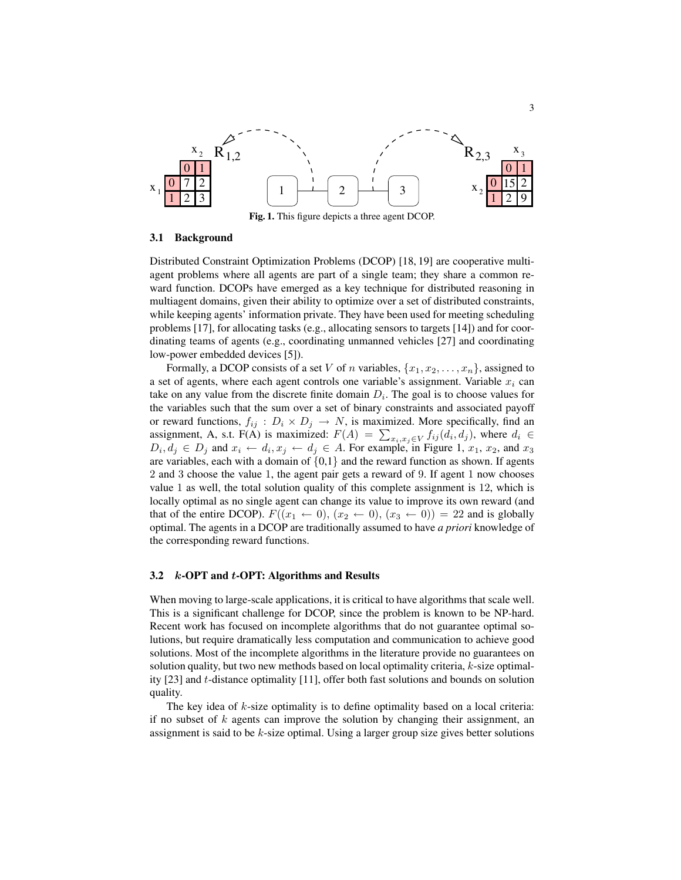

Fig. 1. This figure depicts a three agent DCOP.

#### 3.1 Background

Distributed Constraint Optimization Problems (DCOP) [18, 19] are cooperative multiagent problems where all agents are part of a single team; they share a common reward function. DCOPs have emerged as a key technique for distributed reasoning in multiagent domains, given their ability to optimize over a set of distributed constraints, while keeping agents' information private. They have been used for meeting scheduling problems [17], for allocating tasks (e.g., allocating sensors to targets [14]) and for coordinating teams of agents (e.g., coordinating unmanned vehicles [27] and coordinating low-power embedded devices [5]).

Formally, a DCOP consists of a set V of n variables,  $\{x_1, x_2, \ldots, x_n\}$ , assigned to a set of agents, where each agent controls one variable's assignment. Variable  $x_i$  can take on any value from the discrete finite domain  $D<sub>i</sub>$ . The goal is to choose values for the variables such that the sum over a set of binary constraints and associated payoff or reward functions,  $f_{ij}$ :  $D_i \times D_j \rightarrow N$ , is maximized. More specifically, find an assignment, A, s.t. F(A) is maximized:  $F(A) = \sum_{x_i, x_j \in V} f_{ij}(d_i, d_j)$ , where  $d_i \in$  $D_i, d_j \in D_j$  and  $x_i \leftarrow d_i, x_j \leftarrow d_j \in A$ . For example, in Figure 1,  $x_1, x_2$ , and  $x_3$ are variables, each with a domain of  $\{0,1\}$  and the reward function as shown. If agents 2 and 3 choose the value 1, the agent pair gets a reward of 9. If agent 1 now chooses value 1 as well, the total solution quality of this complete assignment is 12, which is locally optimal as no single agent can change its value to improve its own reward (and that of the entire DCOP).  $F((x_1 \leftarrow 0), (x_2 \leftarrow 0), (x_3 \leftarrow 0)) = 22$  and is globally optimal. The agents in a DCOP are traditionally assumed to have *a priori* knowledge of the corresponding reward functions.

#### 3.2  $k$ -OPT and  $t$ -OPT: Algorithms and Results

When moving to large-scale applications, it is critical to have algorithms that scale well. This is a significant challenge for DCOP, since the problem is known to be NP-hard. Recent work has focused on incomplete algorithms that do not guarantee optimal solutions, but require dramatically less computation and communication to achieve good solutions. Most of the incomplete algorithms in the literature provide no guarantees on solution quality, but two new methods based on local optimality criteria,  $k$ -size optimality  $[23]$  and t-distance optimality  $[11]$ , offer both fast solutions and bounds on solution quality.

The key idea of  $k$ -size optimality is to define optimality based on a local criteria: if no subset of  $k$  agents can improve the solution by changing their assignment, an assignment is said to be  $k$ -size optimal. Using a larger group size gives better solutions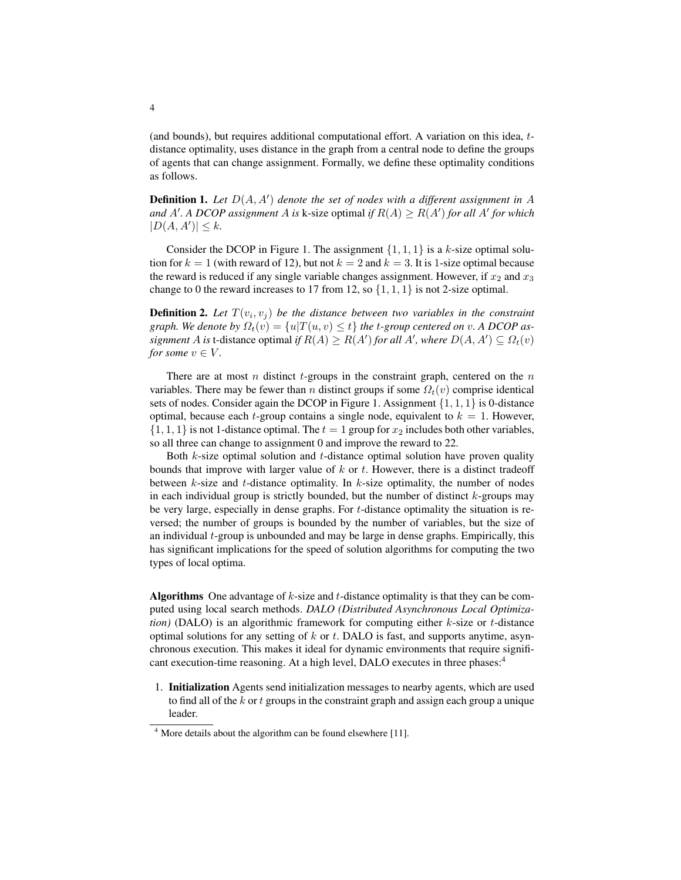(and bounds), but requires additional computational effort. A variation on this idea, tdistance optimality, uses distance in the graph from a central node to define the groups of agents that can change assignment. Formally, we define these optimality conditions as follows.

**Definition 1.** Let  $D(A, A')$  denote the set of nodes with a different assignment in A *and*  $A'$ . A DCOP assignment A is k-size optimal if  $R(A) \ge R(A')$  for all A' for which  $|D(A, A')| \leq k$ .

Consider the DCOP in Figure 1. The assignment  $\{1, 1, 1\}$  is a k-size optimal solution for  $k = 1$  (with reward of 12), but not  $k = 2$  and  $k = 3$ . It is 1-size optimal because the reward is reduced if any single variable changes assignment. However, if  $x_2$  and  $x_3$ change to 0 the reward increases to 17 from 12, so  $\{1, 1, 1\}$  is not 2-size optimal.

**Definition 2.** Let  $T(v_i, v_j)$  be the distance between two variables in the constraint *graph. We denote by*  $\Omega_t(v) = \{u | T(u, v) \le t\}$  *the t-group centered on* v. A DCOP as*signment A is* t-distance optimal *if*  $R(A) \ge R(A')$  *for all A', where*  $D(A, A') \subseteq \Omega_t(v)$ *for some*  $v \in V$ *.* 

There are at most  $n$  distinct  $t$ -groups in the constraint graph, centered on the  $n$ variables. There may be fewer than n distinct groups if some  $\Omega_t(v)$  comprise identical sets of nodes. Consider again the DCOP in Figure 1. Assignment  $\{1, 1, 1\}$  is 0-distance optimal, because each *t*-group contains a single node, equivalent to  $k = 1$ . However,  $\{1, 1, 1\}$  is not 1-distance optimal. The  $t = 1$  group for  $x_2$  includes both other variables, so all three can change to assignment 0 and improve the reward to 22.

Both  $k$ -size optimal solution and  $t$ -distance optimal solution have proven quality bounds that improve with larger value of  $k$  or  $t$ . However, there is a distinct tradeoff between  $k$ -size and  $t$ -distance optimality. In  $k$ -size optimality, the number of nodes in each individual group is strictly bounded, but the number of distinct  $k$ -groups may be very large, especially in dense graphs. For  $t$ -distance optimality the situation is reversed; the number of groups is bounded by the number of variables, but the size of an individual t-group is unbounded and may be large in dense graphs. Empirically, this has significant implications for the speed of solution algorithms for computing the two types of local optima.

**Algorithms** One advantage of  $k$ -size and  $t$ -distance optimality is that they can be computed using local search methods. *DALO (Distributed Asynchronous Local Optimization)* (DALO) is an algorithmic framework for computing either k-size or t-distance optimal solutions for any setting of  $k$  or  $t$ . DALO is fast, and supports anytime, asynchronous execution. This makes it ideal for dynamic environments that require significant execution-time reasoning. At a high level, DALO executes in three phases:<sup>4</sup>

1. Initialization Agents send initialization messages to nearby agents, which are used to find all of the k or t groups in the constraint graph and assign each group a unique leader.

<sup>4</sup> More details about the algorithm can be found elsewhere [11].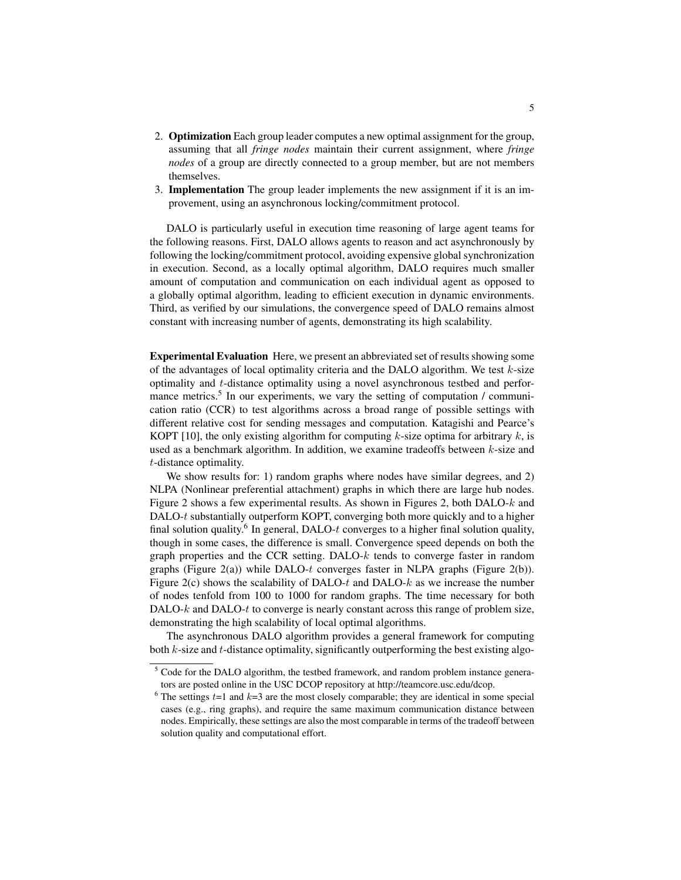- 2. Optimization Each group leader computes a new optimal assignment for the group, assuming that all *fringe nodes* maintain their current assignment, where *fringe nodes* of a group are directly connected to a group member, but are not members themselves.
- 3. Implementation The group leader implements the new assignment if it is an improvement, using an asynchronous locking/commitment protocol.

DALO is particularly useful in execution time reasoning of large agent teams for the following reasons. First, DALO allows agents to reason and act asynchronously by following the locking/commitment protocol, avoiding expensive global synchronization in execution. Second, as a locally optimal algorithm, DALO requires much smaller amount of computation and communication on each individual agent as opposed to a globally optimal algorithm, leading to efficient execution in dynamic environments. Third, as verified by our simulations, the convergence speed of DALO remains almost constant with increasing number of agents, demonstrating its high scalability.

Experimental Evaluation Here, we present an abbreviated set of results showing some of the advantages of local optimality criteria and the DALO algorithm. We test  $k$ -size optimality and t-distance optimality using a novel asynchronous testbed and performance metrics.<sup>5</sup> In our experiments, we vary the setting of computation / communication ratio (CCR) to test algorithms across a broad range of possible settings with different relative cost for sending messages and computation. Katagishi and Pearce's KOPT [10], the only existing algorithm for computing k-size optima for arbitrary  $k$ , is used as a benchmark algorithm. In addition, we examine tradeoffs between  $k$ -size and t-distance optimality.

We show results for: 1) random graphs where nodes have similar degrees, and 2) NLPA (Nonlinear preferential attachment) graphs in which there are large hub nodes. Figure 2 shows a few experimental results. As shown in Figures 2, both DALO-k and  $DALO-t$  substantially outperform KOPT, converging both more quickly and to a higher final solution quality.<sup>6</sup> In general, DALO-t converges to a higher final solution quality, though in some cases, the difference is small. Convergence speed depends on both the graph properties and the CCR setting. DALO- $k$  tends to converge faster in random graphs (Figure 2(a)) while DALO-t converges faster in NLPA graphs (Figure 2(b)). Figure 2(c) shows the scalability of DALO- $t$  and DALO- $k$  as we increase the number of nodes tenfold from 100 to 1000 for random graphs. The time necessary for both  $DALO-k$  and  $DALO-t$  to converge is nearly constant across this range of problem size, demonstrating the high scalability of local optimal algorithms.

The asynchronous DALO algorithm provides a general framework for computing both  $k$ -size and  $t$ -distance optimality, significantly outperforming the best existing algo-

<sup>&</sup>lt;sup>5</sup> Code for the DALO algorithm, the testbed framework, and random problem instance generators are posted online in the USC DCOP repository at http://teamcore.usc.edu/dcop.

 $6$  The settings  $t=1$  and  $k=3$  are the most closely comparable; they are identical in some special cases (e.g., ring graphs), and require the same maximum communication distance between nodes. Empirically, these settings are also the most comparable in terms of the tradeoff between solution quality and computational effort.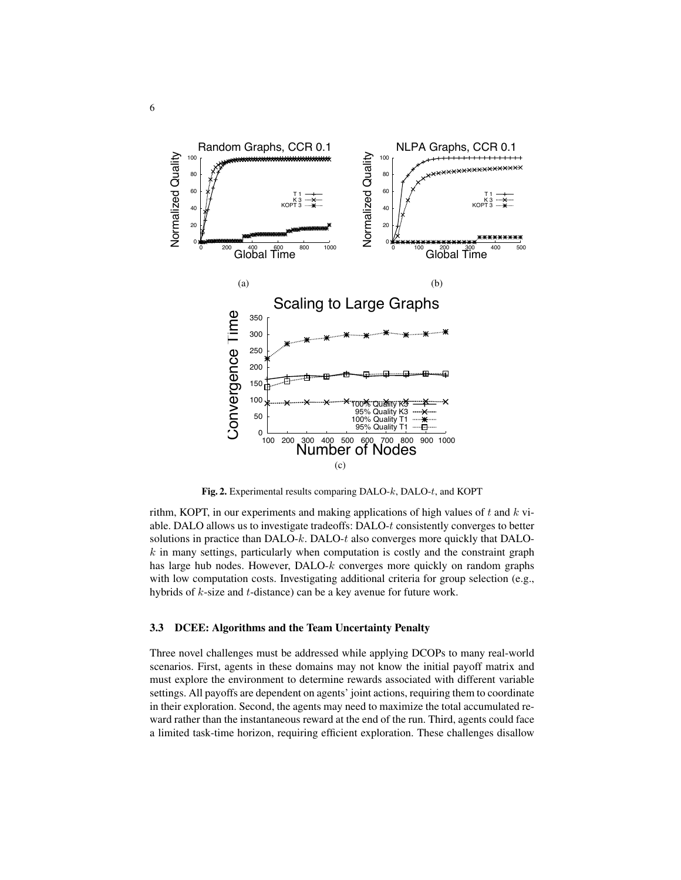

Fig. 2. Experimental results comparing DALO-k, DALO-t, and KOPT

rithm, KOPT, in our experiments and making applications of high values of  $t$  and  $k$  viable. DALO allows us to investigate tradeoffs: DALO-t consistently converges to better solutions in practice than DALO- $k$ . DALO- $t$  also converges more quickly that DALO $k$  in many settings, particularly when computation is costly and the constraint graph has large hub nodes. However, DALO-k converges more quickly on random graphs with low computation costs. Investigating additional criteria for group selection (e.g., hybrids of  $k$ -size and  $t$ -distance) can be a key avenue for future work.

#### 3.3 DCEE: Algorithms and the Team Uncertainty Penalty

Three novel challenges must be addressed while applying DCOPs to many real-world scenarios. First, agents in these domains may not know the initial payoff matrix and must explore the environment to determine rewards associated with different variable settings. All payoffs are dependent on agents' joint actions, requiring them to coordinate in their exploration. Second, the agents may need to maximize the total accumulated reward rather than the instantaneous reward at the end of the run. Third, agents could face a limited task-time horizon, requiring efficient exploration. These challenges disallow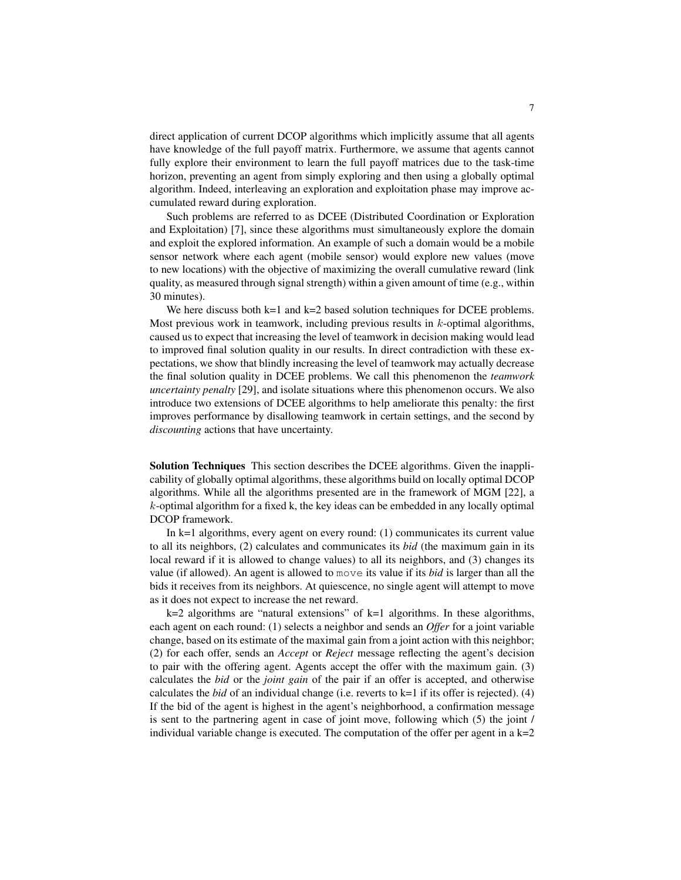direct application of current DCOP algorithms which implicitly assume that all agents have knowledge of the full payoff matrix. Furthermore, we assume that agents cannot fully explore their environment to learn the full payoff matrices due to the task-time horizon, preventing an agent from simply exploring and then using a globally optimal algorithm. Indeed, interleaving an exploration and exploitation phase may improve accumulated reward during exploration.

Such problems are referred to as DCEE (Distributed Coordination or Exploration and Exploitation) [7], since these algorithms must simultaneously explore the domain and exploit the explored information. An example of such a domain would be a mobile sensor network where each agent (mobile sensor) would explore new values (move to new locations) with the objective of maximizing the overall cumulative reward (link quality, as measured through signal strength) within a given amount of time (e.g., within 30 minutes).

We here discuss both  $k=1$  and  $k=2$  based solution techniques for DCEE problems. Most previous work in teamwork, including previous results in  $k$ -optimal algorithms, caused us to expect that increasing the level of teamwork in decision making would lead to improved final solution quality in our results. In direct contradiction with these expectations, we show that blindly increasing the level of teamwork may actually decrease the final solution quality in DCEE problems. We call this phenomenon the *teamwork uncertainty penalty* [29], and isolate situations where this phenomenon occurs. We also introduce two extensions of DCEE algorithms to help ameliorate this penalty: the first improves performance by disallowing teamwork in certain settings, and the second by *discounting* actions that have uncertainty.

Solution Techniques This section describes the DCEE algorithms. Given the inapplicability of globally optimal algorithms, these algorithms build on locally optimal DCOP algorithms. While all the algorithms presented are in the framework of MGM [22], a  $k$ -optimal algorithm for a fixed k, the key ideas can be embedded in any locally optimal DCOP framework.

In k=1 algorithms, every agent on every round: (1) communicates its current value to all its neighbors, (2) calculates and communicates its *bid* (the maximum gain in its local reward if it is allowed to change values) to all its neighbors, and (3) changes its value (if allowed). An agent is allowed to move its value if its *bid* is larger than all the bids it receives from its neighbors. At quiescence, no single agent will attempt to move as it does not expect to increase the net reward.

 $k=2$  algorithms are "natural extensions" of  $k=1$  algorithms. In these algorithms, each agent on each round: (1) selects a neighbor and sends an *Offer* for a joint variable change, based on its estimate of the maximal gain from a joint action with this neighbor; (2) for each offer, sends an *Accept* or *Reject* message reflecting the agent's decision to pair with the offering agent. Agents accept the offer with the maximum gain. (3) calculates the *bid* or the *joint gain* of the pair if an offer is accepted, and otherwise calculates the *bid* of an individual change (i.e. reverts to  $k=1$  if its offer is rejected). (4) If the bid of the agent is highest in the agent's neighborhood, a confirmation message is sent to the partnering agent in case of joint move, following which (5) the joint / individual variable change is executed. The computation of the offer per agent in a  $k=2$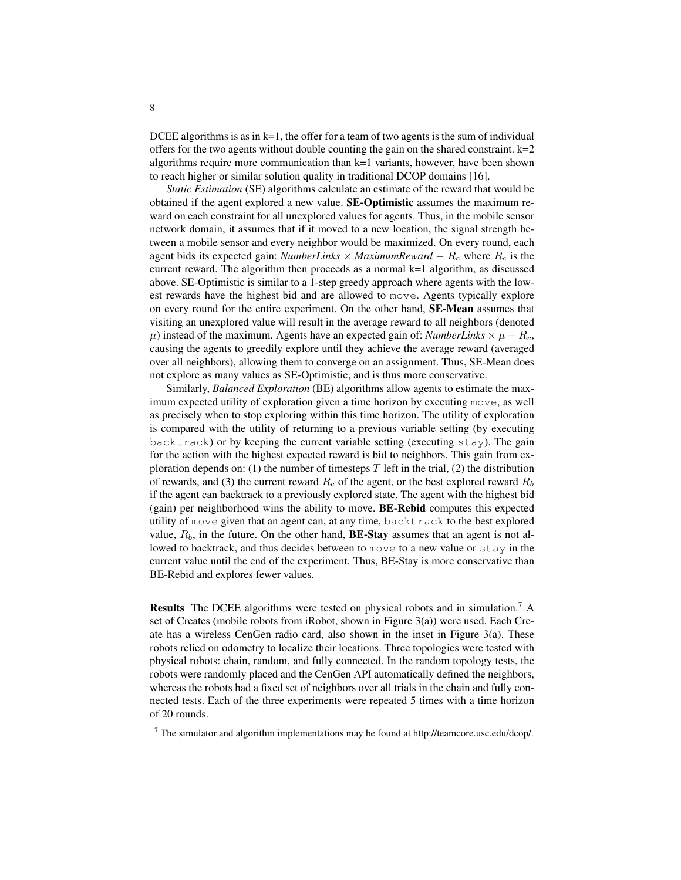DCEE algorithms is as in k=1, the offer for a team of two agents is the sum of individual offers for the two agents without double counting the gain on the shared constraint.  $k=2$ algorithms require more communication than  $k=1$  variants, however, have been shown to reach higher or similar solution quality in traditional DCOP domains [16].

*Static Estimation* (SE) algorithms calculate an estimate of the reward that would be obtained if the agent explored a new value. SE-Optimistic assumes the maximum reward on each constraint for all unexplored values for agents. Thus, in the mobile sensor network domain, it assumes that if it moved to a new location, the signal strength between a mobile sensor and every neighbor would be maximized. On every round, each agent bids its expected gain: *NumberLinks* × *MaximumReward* –  $R_c$  where  $R_c$  is the current reward. The algorithm then proceeds as a normal  $k=1$  algorithm, as discussed above. SE-Optimistic is similar to a 1-step greedy approach where agents with the lowest rewards have the highest bid and are allowed to move. Agents typically explore on every round for the entire experiment. On the other hand, SE-Mean assumes that visiting an unexplored value will result in the average reward to all neighbors (denoted  $\mu$ ) instead of the maximum. Agents have an expected gain of: *NumberLinks*  $\times \mu - R_c$ , causing the agents to greedily explore until they achieve the average reward (averaged over all neighbors), allowing them to converge on an assignment. Thus, SE-Mean does not explore as many values as SE-Optimistic, and is thus more conservative.

Similarly, *Balanced Exploration* (BE) algorithms allow agents to estimate the maximum expected utility of exploration given a time horizon by executing move, as well as precisely when to stop exploring within this time horizon. The utility of exploration is compared with the utility of returning to a previous variable setting (by executing  $backtrack)$  or by keeping the current variable setting (executing  $stay)$ . The gain for the action with the highest expected reward is bid to neighbors. This gain from exploration depends on: (1) the number of timesteps  $T$  left in the trial, (2) the distribution of rewards, and (3) the current reward  $R_c$  of the agent, or the best explored reward  $R_b$ if the agent can backtrack to a previously explored state. The agent with the highest bid (gain) per neighborhood wins the ability to move. BE-Rebid computes this expected utility of move given that an agent can, at any time, backtrack to the best explored value,  $R_b$ , in the future. On the other hand, **BE-Stay** assumes that an agent is not allowed to backtrack, and thus decides between to move to a new value or stay in the current value until the end of the experiment. Thus, BE-Stay is more conservative than BE-Rebid and explores fewer values.

Results The DCEE algorithms were tested on physical robots and in simulation.<sup>7</sup> A set of Creates (mobile robots from iRobot, shown in Figure 3(a)) were used. Each Create has a wireless CenGen radio card, also shown in the inset in Figure 3(a). These robots relied on odometry to localize their locations. Three topologies were tested with physical robots: chain, random, and fully connected. In the random topology tests, the robots were randomly placed and the CenGen API automatically defined the neighbors, whereas the robots had a fixed set of neighbors over all trials in the chain and fully connected tests. Each of the three experiments were repeated 5 times with a time horizon of 20 rounds.

 $7$  The simulator and algorithm implementations may be found at http://teamcore.usc.edu/dcop/.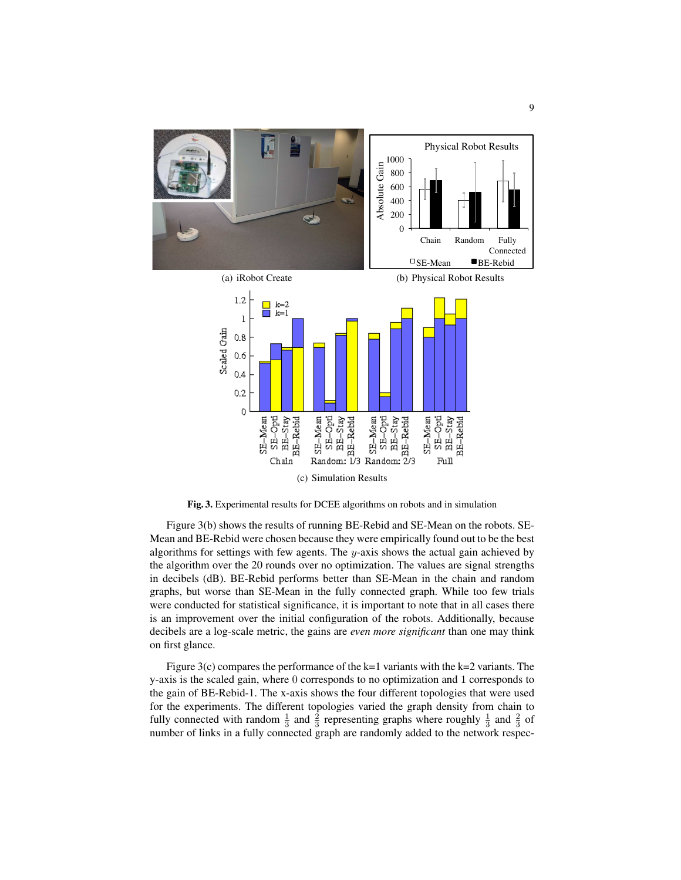

Fig. 3. Experimental results for DCEE algorithms on robots and in simulation

Figure 3(b) shows the results of running BE-Rebid and SE-Mean on the robots. SE-Mean and BE-Rebid were chosen because they were empirically found out to be the best algorithms for settings with few agents. The  $y$ -axis shows the actual gain achieved by the algorithm over the 20 rounds over no optimization. The values are signal strengths in decibels (dB). BE-Rebid performs better than SE-Mean in the chain and random graphs, but worse than SE-Mean in the fully connected graph. While too few trials were conducted for statistical significance, it is important to note that in all cases there is an improvement over the initial configuration of the robots. Additionally, because decibels are a log-scale metric, the gains are *even more significant* than one may think on first glance.

Figure 3(c) compares the performance of the  $k=1$  variants with the  $k=2$  variants. The y-axis is the scaled gain, where 0 corresponds to no optimization and 1 corresponds to the gain of BE-Rebid-1. The x-axis shows the four different topologies that were used for the experiments. The different topologies varied the graph density from chain to fully connected with random  $\frac{1}{3}$  and  $\frac{2}{3}$  representing graphs where roughly  $\frac{1}{3}$  and  $\frac{2}{3}$  of number of links in a fully connected graph are randomly added to the network respec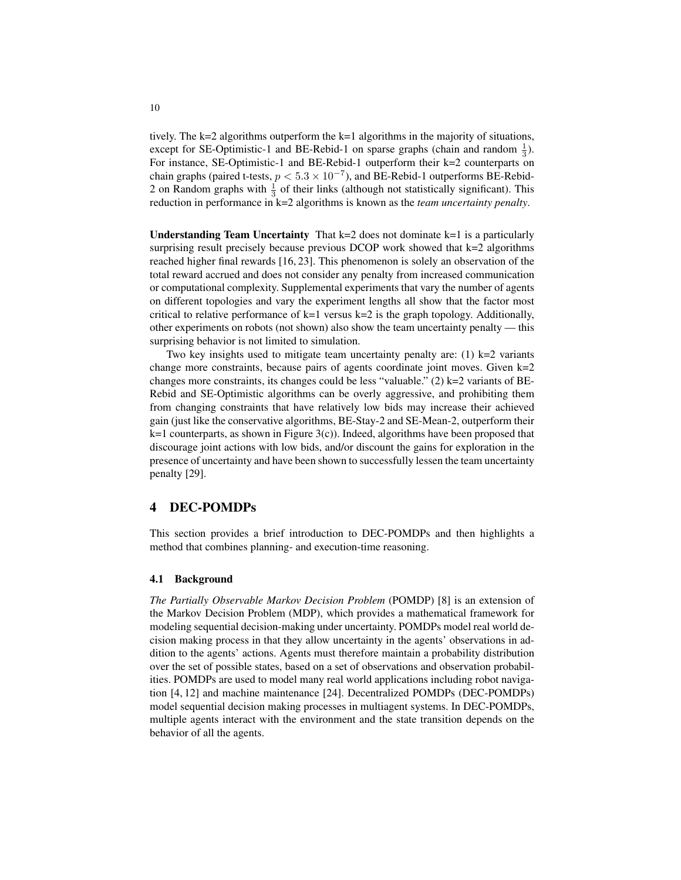tively. The k=2 algorithms outperform the k=1 algorithms in the majority of situations, except for SE-Optimistic-1 and BE-Rebid-1 on sparse graphs (chain and random  $\frac{1}{3}$ ). For instance, SE-Optimistic-1 and BE-Rebid-1 outperform their k=2 counterparts on chain graphs (paired t-tests,  $p < 5.3 \times 10^{-7}$ ), and BE-Rebid-1 outperforms BE-Rebid-2 on Random graphs with  $\frac{1}{3}$  of their links (although not statistically significant). This reduction in performance in k=2 algorithms is known as the *team uncertainty penalty*.

Understanding Team Uncertainty That  $k=2$  does not dominate  $k=1$  is a particularly surprising result precisely because previous DCOP work showed that k=2 algorithms reached higher final rewards [16, 23]. This phenomenon is solely an observation of the total reward accrued and does not consider any penalty from increased communication or computational complexity. Supplemental experiments that vary the number of agents on different topologies and vary the experiment lengths all show that the factor most critical to relative performance of  $k=1$  versus  $k=2$  is the graph topology. Additionally, other experiments on robots (not shown) also show the team uncertainty penalty — this surprising behavior is not limited to simulation.

Two key insights used to mitigate team uncertainty penalty are: (1) k=2 variants change more constraints, because pairs of agents coordinate joint moves. Given k=2 changes more constraints, its changes could be less "valuable." (2) k=2 variants of BE-Rebid and SE-Optimistic algorithms can be overly aggressive, and prohibiting them from changing constraints that have relatively low bids may increase their achieved gain (just like the conservative algorithms, BE-Stay-2 and SE-Mean-2, outperform their  $k=1$  counterparts, as shown in Figure 3(c)). Indeed, algorithms have been proposed that discourage joint actions with low bids, and/or discount the gains for exploration in the presence of uncertainty and have been shown to successfully lessen the team uncertainty penalty [29].

## 4 DEC-POMDPs

This section provides a brief introduction to DEC-POMDPs and then highlights a method that combines planning- and execution-time reasoning.

#### 4.1 Background

*The Partially Observable Markov Decision Problem* (POMDP) [8] is an extension of the Markov Decision Problem (MDP), which provides a mathematical framework for modeling sequential decision-making under uncertainty. POMDPs model real world decision making process in that they allow uncertainty in the agents' observations in addition to the agents' actions. Agents must therefore maintain a probability distribution over the set of possible states, based on a set of observations and observation probabilities. POMDPs are used to model many real world applications including robot navigation [4, 12] and machine maintenance [24]. Decentralized POMDPs (DEC-POMDPs) model sequential decision making processes in multiagent systems. In DEC-POMDPs, multiple agents interact with the environment and the state transition depends on the behavior of all the agents.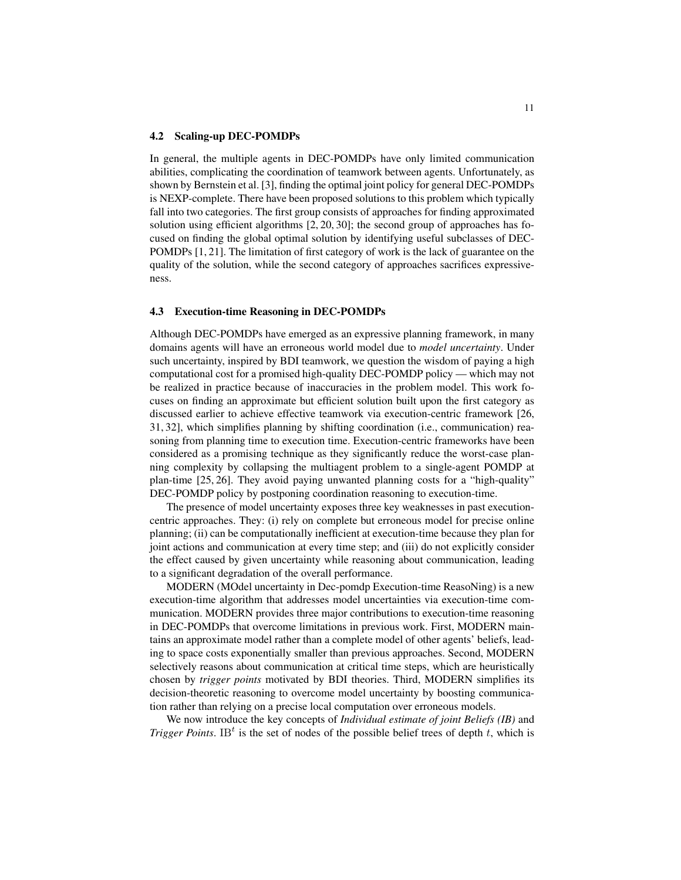#### 4.2 Scaling-up DEC-POMDPs

In general, the multiple agents in DEC-POMDPs have only limited communication abilities, complicating the coordination of teamwork between agents. Unfortunately, as shown by Bernstein et al. [3], finding the optimal joint policy for general DEC-POMDPs is NEXP-complete. There have been proposed solutions to this problem which typically fall into two categories. The first group consists of approaches for finding approximated solution using efficient algorithms  $[2, 20, 30]$ ; the second group of approaches has focused on finding the global optimal solution by identifying useful subclasses of DEC-POMDPs [1, 21]. The limitation of first category of work is the lack of guarantee on the quality of the solution, while the second category of approaches sacrifices expressiveness.

# 4.3 Execution-time Reasoning in DEC-POMDPs

Although DEC-POMDPs have emerged as an expressive planning framework, in many domains agents will have an erroneous world model due to *model uncertainty*. Under such uncertainty, inspired by BDI teamwork, we question the wisdom of paying a high computational cost for a promised high-quality DEC-POMDP policy — which may not be realized in practice because of inaccuracies in the problem model. This work focuses on finding an approximate but efficient solution built upon the first category as discussed earlier to achieve effective teamwork via execution-centric framework [26, 31, 32], which simplifies planning by shifting coordination (i.e., communication) reasoning from planning time to execution time. Execution-centric frameworks have been considered as a promising technique as they significantly reduce the worst-case planning complexity by collapsing the multiagent problem to a single-agent POMDP at plan-time [25, 26]. They avoid paying unwanted planning costs for a "high-quality" DEC-POMDP policy by postponing coordination reasoning to execution-time.

The presence of model uncertainty exposes three key weaknesses in past executioncentric approaches. They: (i) rely on complete but erroneous model for precise online planning; (ii) can be computationally inefficient at execution-time because they plan for joint actions and communication at every time step; and (iii) do not explicitly consider the effect caused by given uncertainty while reasoning about communication, leading to a significant degradation of the overall performance.

MODERN (MOdel uncertainty in Dec-pomdp Execution-time ReasoNing) is a new execution-time algorithm that addresses model uncertainties via execution-time communication. MODERN provides three major contributions to execution-time reasoning in DEC-POMDPs that overcome limitations in previous work. First, MODERN maintains an approximate model rather than a complete model of other agents' beliefs, leading to space costs exponentially smaller than previous approaches. Second, MODERN selectively reasons about communication at critical time steps, which are heuristically chosen by *trigger points* motivated by BDI theories. Third, MODERN simplifies its decision-theoretic reasoning to overcome model uncertainty by boosting communication rather than relying on a precise local computation over erroneous models.

We now introduce the key concepts of *Individual estimate of joint Beliefs (IB)* and *Trigger Points*. IB<sup>t</sup> is the set of nodes of the possible belief trees of depth  $t$ , which is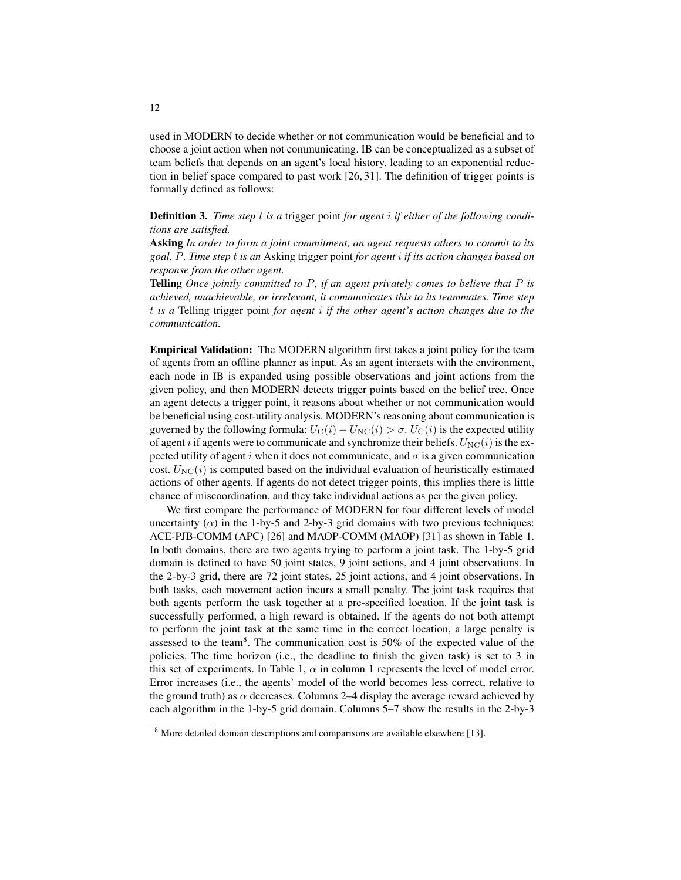used in MODERN to decide whether or not communication would be beneficial and to choose a joint action when not communicating. IB can be conceptualized as a subset of team beliefs that depends on an agent's local history, leading to an exponential reduction in belief space compared to past work [26, 31]. The definition of trigger points is formally defined as follows:

Definition 3. *Time step* t *is a* trigger point *for agent* i *if either of the following conditions are satisfied.*

Asking *In order to form a joint commitment, an agent requests others to commit to its goal,* P*. Time step* t *is an* Asking trigger point *for agent* i *if its action changes based on response from the other agent.*

Telling *Once jointly committed to* P*, if an agent privately comes to believe that* P *is achieved, unachievable, or irrelevant, it communicates this to its teammates. Time step* t *is a* Telling trigger point *for agent* i *if the other agent's action changes due to the communication.*

Empirical Validation: The MODERN algorithm first takes a joint policy for the team of agents from an offline planner as input. As an agent interacts with the environment, each node in IB is expanded using possible observations and joint actions from the given policy, and then MODERN detects trigger points based on the belief tree. Once an agent detects a trigger point, it reasons about whether or not communication would be beneficial using cost-utility analysis. MODERN's reasoning about communication is governed by the following formula:  $U_{\text{C}}(i) - U_{\text{NC}}(i) > \sigma$ .  $U_{\text{C}}(i)$  is the expected utility of agent i if agents were to communicate and synchronize their beliefs.  $U_{\text{NC}}(i)$  is the expected utility of agent i when it does not communicate, and  $\sigma$  is a given communication cost.  $U_{\text{NC}}(i)$  is computed based on the individual evaluation of heuristically estimated actions of other agents. If agents do not detect trigger points, this implies there is little chance of miscoordination, and they take individual actions as per the given policy.

We first compare the performance of MODERN for four different levels of model uncertainty  $(\alpha)$  in the 1-by-5 and 2-by-3 grid domains with two previous techniques: ACE-PJB-COMM (APC) [26] and MAOP-COMM (MAOP) [31] as shown in Table 1. In both domains, there are two agents trying to perform a joint task. The 1-by-5 grid domain is defined to have 50 joint states, 9 joint actions, and 4 joint observations. In the 2-by-3 grid, there are 72 joint states, 25 joint actions, and 4 joint observations. In both tasks, each movement action incurs a small penalty. The joint task requires that both agents perform the task together at a pre-specified location. If the joint task is successfully performed, a high reward is obtained. If the agents do not both attempt to perform the joint task at the same time in the correct location, a large penalty is assessed to the team<sup>8</sup>. The communication cost is 50% of the expected value of the policies. The time horizon (i.e., the deadline to finish the given task) is set to 3 in this set of experiments. In Table 1,  $\alpha$  in column 1 represents the level of model error. Error increases (i.e., the agents' model of the world becomes less correct, relative to the ground truth) as  $\alpha$  decreases. Columns 2–4 display the average reward achieved by each algorithm in the 1-by-5 grid domain. Columns 5–7 show the results in the 2-by-3

<sup>&</sup>lt;sup>8</sup> More detailed domain descriptions and comparisons are available elsewhere [13].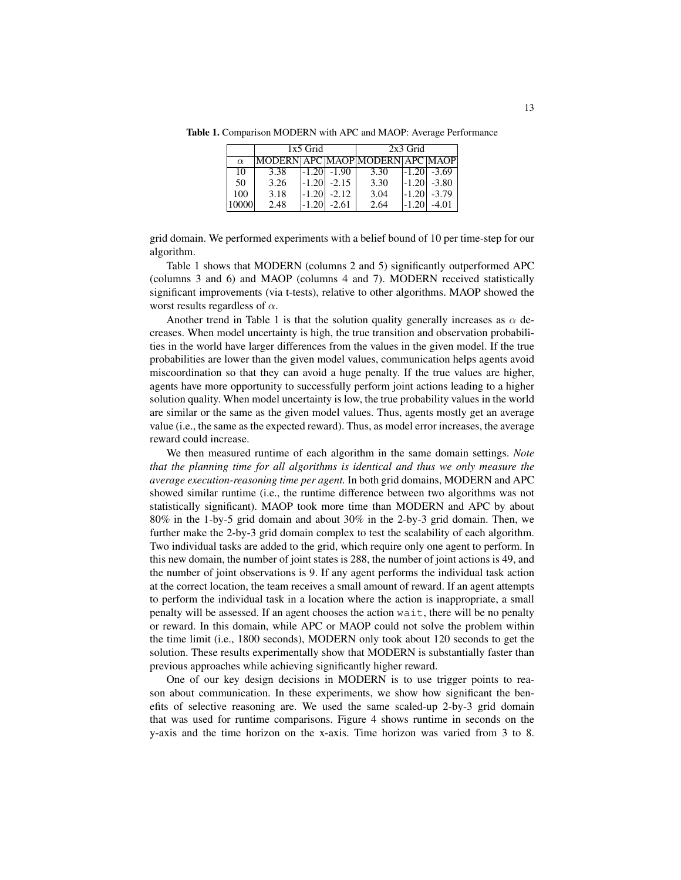Table 1. Comparison MODERN with APC and MAOP: Average Performance

|          | 1x5 Grid |         |                 | $2x3$ Grid                      |           |                 |
|----------|----------|---------|-----------------|---------------------------------|-----------|-----------------|
| $\alpha$ |          |         |                 | MODERN APC MAOP MODERN APC MAOP |           |                 |
| 10       | 3.38     |         | $-1.20$ -1.90   | 3.30                            |           | $-1.20$ $-3.69$ |
| 50       | 3.26     |         | $-1.20$ $-2.15$ | 3.30                            | $ -1.20 $ | $-3.80$         |
| 100      | 3.18     | $-1.20$ | $-2.12$         | 3.04                            | $[-1.20]$ | $-3.79$         |
| 10000    | 2.48     | $-1.20$ | $-2.61$         | 2.64                            | $-1.20$   | -4.01           |

grid domain. We performed experiments with a belief bound of 10 per time-step for our algorithm.

Table 1 shows that MODERN (columns 2 and 5) significantly outperformed APC (columns 3 and 6) and MAOP (columns 4 and 7). MODERN received statistically significant improvements (via t-tests), relative to other algorithms. MAOP showed the worst results regardless of  $\alpha$ .

Another trend in Table 1 is that the solution quality generally increases as  $\alpha$  decreases. When model uncertainty is high, the true transition and observation probabilities in the world have larger differences from the values in the given model. If the true probabilities are lower than the given model values, communication helps agents avoid miscoordination so that they can avoid a huge penalty. If the true values are higher, agents have more opportunity to successfully perform joint actions leading to a higher solution quality. When model uncertainty is low, the true probability values in the world are similar or the same as the given model values. Thus, agents mostly get an average value (i.e., the same as the expected reward). Thus, as model error increases, the average reward could increase.

We then measured runtime of each algorithm in the same domain settings. *Note that the planning time for all algorithms is identical and thus we only measure the average execution-reasoning time per agent.* In both grid domains, MODERN and APC showed similar runtime (i.e., the runtime difference between two algorithms was not statistically significant). MAOP took more time than MODERN and APC by about 80% in the 1-by-5 grid domain and about 30% in the 2-by-3 grid domain. Then, we further make the 2-by-3 grid domain complex to test the scalability of each algorithm. Two individual tasks are added to the grid, which require only one agent to perform. In this new domain, the number of joint states is 288, the number of joint actions is 49, and the number of joint observations is 9. If any agent performs the individual task action at the correct location, the team receives a small amount of reward. If an agent attempts to perform the individual task in a location where the action is inappropriate, a small penalty will be assessed. If an agent chooses the action wait, there will be no penalty or reward. In this domain, while APC or MAOP could not solve the problem within the time limit (i.e., 1800 seconds), MODERN only took about 120 seconds to get the solution. These results experimentally show that MODERN is substantially faster than previous approaches while achieving significantly higher reward.

One of our key design decisions in MODERN is to use trigger points to reason about communication. In these experiments, we show how significant the benefits of selective reasoning are. We used the same scaled-up 2-by-3 grid domain that was used for runtime comparisons. Figure 4 shows runtime in seconds on the y-axis and the time horizon on the x-axis. Time horizon was varied from 3 to 8.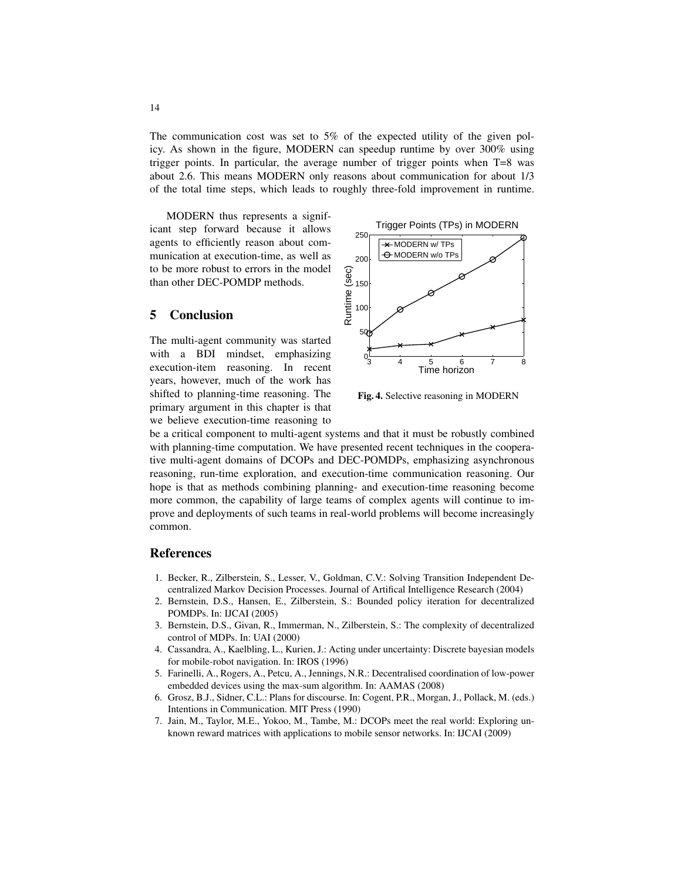The communication cost was set to 5% of the expected utility of the given policy. As shown in the figure, MODERN can speedup runtime by over 300% using trigger points. In particular, the average number of trigger points when T=8 was about 2.6. This means MODERN only reasons about communication for about 1/3 of the total time steps, which leads to roughly three-fold improvement in runtime.

MODERN thus represents a significant step forward because it allows agents to efficiently reason about communication at execution-time, as well as to be more robust to errors in the model than other DEC-POMDP methods.

#### 5 Conclusion

The multi-agent community was started with a BDI mindset, emphasizing execution-item reasoning. In recent years, however, much of the work has shifted to planning-time reasoning. The primary argument in this chapter is that we believe execution-time reasoning to



Fig. 4. Selective reasoning in MODERN

be a critical component to multi-agent systems and that it must be robustly combined with planning-time computation. We have presented recent techniques in the cooperative multi-agent domains of DCOPs and DEC-POMDPs, emphasizing asynchronous reasoning, run-time exploration, and execution-time communication reasoning. Our hope is that as methods combining planning- and execution-time reasoning become more common, the capability of large teams of complex agents will continue to improve and deployments of such teams in real-world problems will become increasingly common.

# References

- 1. Becker, R., Zilberstein, S., Lesser, V., Goldman, C.V.: Solving Transition Independent Decentralized Markov Decision Processes. Journal of Artifical Intelligence Research (2004)
- 2. Bernstein, D.S., Hansen, E., Zilberstein, S.: Bounded policy iteration for decentralized POMDPs. In: IJCAI (2005)
- 3. Bernstein, D.S., Givan, R., Immerman, N., Zilberstein, S.: The complexity of decentralized control of MDPs. In: UAI (2000)
- 4. Cassandra, A., Kaelbling, L., Kurien, J.: Acting under uncertainty: Discrete bayesian models for mobile-robot navigation. In: IROS (1996)
- 5. Farinelli, A., Rogers, A., Petcu, A., Jennings, N.R.: Decentralised coordination of low-power embedded devices using the max-sum algorithm. In: AAMAS (2008)
- 6. Grosz, B.J., Sidner, C.L.: Plans for discourse. In: Cogent, P.R., Morgan, J., Pollack, M. (eds.) Intentions in Communication. MIT Press (1990)
- 7. Jain, M., Taylor, M.E., Yokoo, M., Tambe, M.: DCOPs meet the real world: Exploring unknown reward matrices with applications to mobile sensor networks. In: IJCAI (2009)